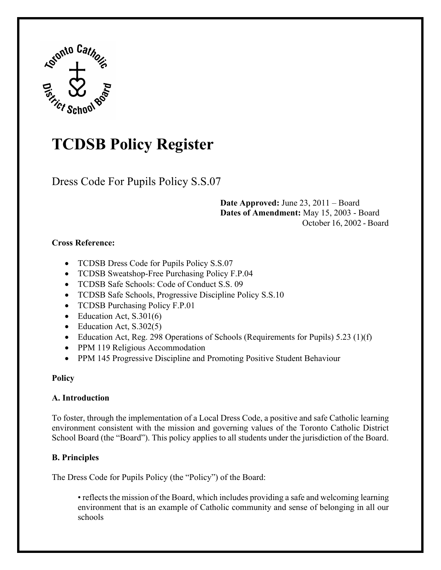

# **TCDSB Policy Register**

Dress Code For Pupils Policy S.S.07

**Date Approved:** June 23, 2011 – Board **Dates of Amendment:** May 15, 2003 - Board October 16, 2002 - Board

#### **Cross Reference:**

- TCDSB Dress Code for Pupils Policy S.S.07
- TCDSB Sweatshop-Free Purchasing Policy F.P.04
- TCDSB Safe Schools: Code of Conduct S.S. 09
- TCDSB Safe Schools, Progressive Discipline Policy S.S.10
- TCDSB Purchasing Policy F.P.01
- Education Act, S.301(6)
- Education Act, S.302(5)
- Education Act, Reg. 298 Operations of Schools (Requirements for Pupils) 5.23 (1)(f)
- PPM 119 Religious Accommodation
- PPM 145 Progressive Discipline and Promoting Positive Student Behaviour

## **Policy**

## **A. Introduction**

To foster, through the implementation of a Local Dress Code, a positive and safe Catholic learning environment consistent with the mission and governing values of the Toronto Catholic District School Board (the "Board"). This policy applies to all students under the jurisdiction of the Board.

## **B. Principles**

The Dress Code for Pupils Policy (the "Policy") of the Board:

• reflects the mission of the Board, which includes providing a safe and welcoming learning environment that is an example of Catholic community and sense of belonging in all our schools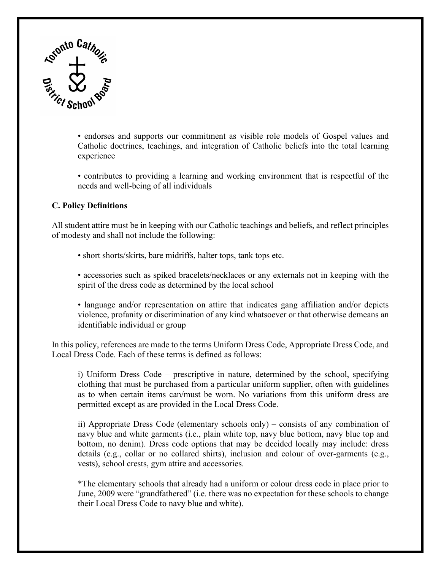

• endorses and supports our commitment as visible role models of Gospel values and Catholic doctrines, teachings, and integration of Catholic beliefs into the total learning experience

• contributes to providing a learning and working environment that is respectful of the needs and well-being of all individuals

#### **C. Policy Definitions**

All student attire must be in keeping with our Catholic teachings and beliefs, and reflect principles of modesty and shall not include the following:

• short shorts/skirts, bare midriffs, halter tops, tank tops etc.

• accessories such as spiked bracelets/necklaces or any externals not in keeping with the spirit of the dress code as determined by the local school

• language and/or representation on attire that indicates gang affiliation and/or depicts violence, profanity or discrimination of any kind whatsoever or that otherwise demeans an identifiable individual or group

In this policy, references are made to the terms Uniform Dress Code, Appropriate Dress Code, and Local Dress Code. Each of these terms is defined as follows:

i) Uniform Dress Code – prescriptive in nature, determined by the school, specifying clothing that must be purchased from a particular uniform supplier, often with guidelines as to when certain items can/must be worn. No variations from this uniform dress are permitted except as are provided in the Local Dress Code.

ii) Appropriate Dress Code (elementary schools only) – consists of any combination of navy blue and white garments (i.e., plain white top, navy blue bottom, navy blue top and bottom, no denim). Dress code options that may be decided locally may include: dress details (e.g., collar or no collared shirts), inclusion and colour of over-garments (e.g., vests), school crests, gym attire and accessories.

\*The elementary schools that already had a uniform or colour dress code in place prior to June, 2009 were "grandfathered" (i.e. there was no expectation for these schools to change their Local Dress Code to navy blue and white).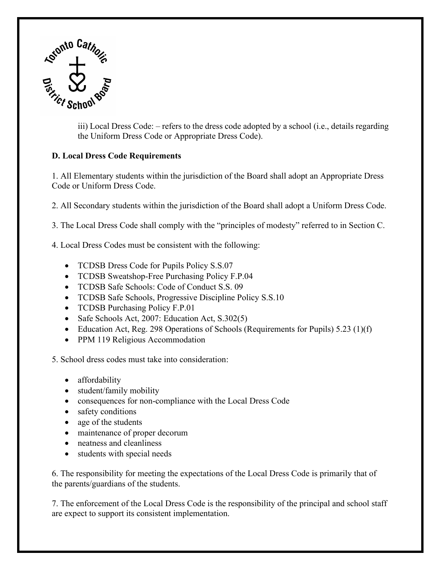

iii) Local Dress Code: – refers to the dress code adopted by a school (i.e., details regarding the Uniform Dress Code or Appropriate Dress Code).

#### **D. Local Dress Code Requirements**

1. All Elementary students within the jurisdiction of the Board shall adopt an Appropriate Dress Code or Uniform Dress Code.

2. All Secondary students within the jurisdiction of the Board shall adopt a Uniform Dress Code.

3. The Local Dress Code shall comply with the "principles of modesty" referred to in Section C.

4. Local Dress Codes must be consistent with the following:

- TCDSB Dress Code for Pupils Policy S.S.07
- TCDSB Sweatshop-Free Purchasing Policy F.P.04
- TCDSB Safe Schools: Code of Conduct S.S. 09
- TCDSB Safe Schools, Progressive Discipline Policy S.S.10
- TCDSB Purchasing Policy F.P.01
- Safe Schools Act, 2007: Education Act, S.302(5)
- Education Act, Reg. 298 Operations of Schools (Requirements for Pupils) 5.23 (1)(f)
- PPM 119 Religious Accommodation

5. School dress codes must take into consideration:

- affordability
- student/family mobility
- consequences for non-compliance with the Local Dress Code
- safety conditions
- age of the students
- maintenance of proper decorum
- neatness and cleanliness
- students with special needs

6. The responsibility for meeting the expectations of the Local Dress Code is primarily that of the parents/guardians of the students.

7. The enforcement of the Local Dress Code is the responsibility of the principal and school staff are expect to support its consistent implementation.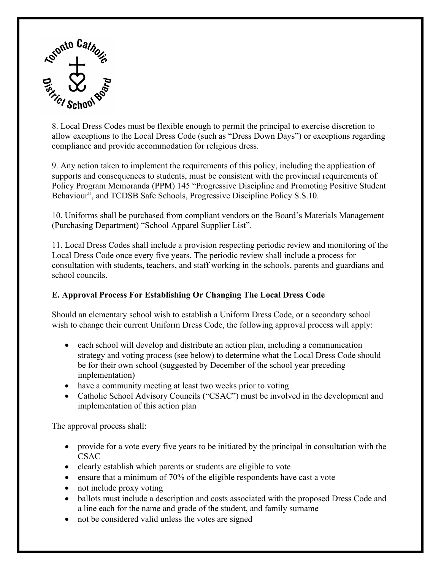

8. Local Dress Codes must be flexible enough to permit the principal to exercise discretion to allow exceptions to the Local Dress Code (such as "Dress Down Days") or exceptions regarding compliance and provide accommodation for religious dress.

9. Any action taken to implement the requirements of this policy, including the application of supports and consequences to students, must be consistent with the provincial requirements of Policy Program Memoranda (PPM) 145 "Progressive Discipline and Promoting Positive Student Behaviour", and TCDSB Safe Schools, Progressive Discipline Policy S.S.10.

10. Uniforms shall be purchased from compliant vendors on the Board's Materials Management (Purchasing Department) "School Apparel Supplier List".

11. Local Dress Codes shall include a provision respecting periodic review and monitoring of the Local Dress Code once every five years. The periodic review shall include a process for consultation with students, teachers, and staff working in the schools, parents and guardians and school councils.

#### **E. Approval Process For Establishing Or Changing The Local Dress Code**

Should an elementary school wish to establish a Uniform Dress Code, or a secondary school wish to change their current Uniform Dress Code, the following approval process will apply:

- each school will develop and distribute an action plan, including a communication strategy and voting process (see below) to determine what the Local Dress Code should be for their own school (suggested by December of the school year preceding implementation)
- have a community meeting at least two weeks prior to voting
- Catholic School Advisory Councils ("CSAC") must be involved in the development and implementation of this action plan

The approval process shall:

- provide for a vote every five years to be initiated by the principal in consultation with the CSAC
- clearly establish which parents or students are eligible to vote
- ensure that a minimum of 70% of the eligible respondents have cast a vote
- not include proxy voting
- ballots must include a description and costs associated with the proposed Dress Code and a line each for the name and grade of the student, and family surname
- not be considered valid unless the votes are signed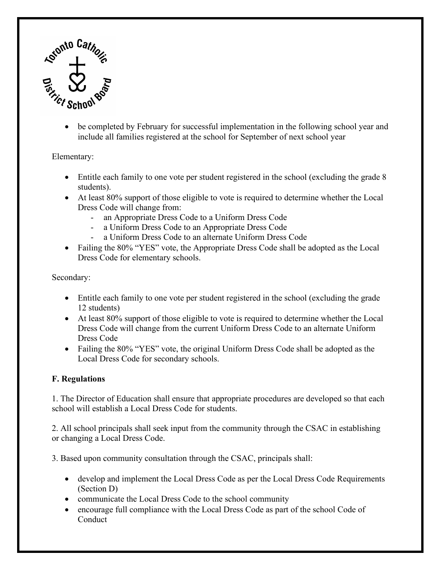

• be completed by February for successful implementation in the following school year and include all families registered at the school for September of next school year

Elementary:

- Entitle each family to one vote per student registered in the school (excluding the grade 8 students).
- At least 80% support of those eligible to vote is required to determine whether the Local Dress Code will change from:
	- an Appropriate Dress Code to a Uniform Dress Code
	- a Uniform Dress Code to an Appropriate Dress Code
	- a Uniform Dress Code to an alternate Uniform Dress Code
- Failing the 80% "YES" vote, the Appropriate Dress Code shall be adopted as the Local Dress Code for elementary schools.

Secondary:

- Entitle each family to one vote per student registered in the school (excluding the grade 12 students)
- At least 80% support of those eligible to vote is required to determine whether the Local Dress Code will change from the current Uniform Dress Code to an alternate Uniform Dress Code
- Failing the 80% "YES" vote, the original Uniform Dress Code shall be adopted as the Local Dress Code for secondary schools.

#### **F. Regulations**

1. The Director of Education shall ensure that appropriate procedures are developed so that each school will establish a Local Dress Code for students.

2. All school principals shall seek input from the community through the CSAC in establishing or changing a Local Dress Code.

3. Based upon community consultation through the CSAC, principals shall:

- develop and implement the Local Dress Code as per the Local Dress Code Requirements (Section D)
- communicate the Local Dress Code to the school community
- encourage full compliance with the Local Dress Code as part of the school Code of **Conduct**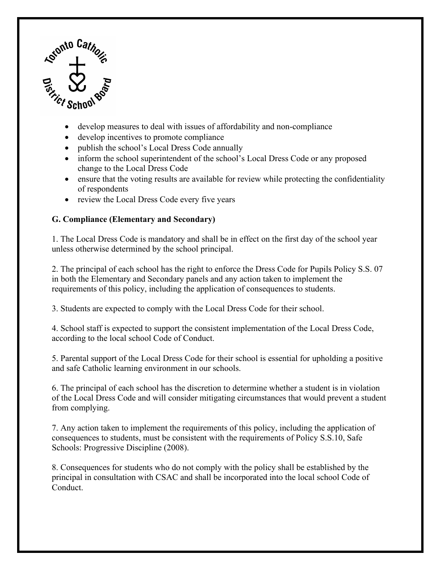

- develop measures to deal with issues of affordability and non-compliance
- develop incentives to promote compliance
- publish the school's Local Dress Code annually
- inform the school superintendent of the school's Local Dress Code or any proposed change to the Local Dress Code
- ensure that the voting results are available for review while protecting the confidentiality of respondents
- review the Local Dress Code every five years

### **G. Compliance (Elementary and Secondary)**

1. The Local Dress Code is mandatory and shall be in effect on the first day of the school year unless otherwise determined by the school principal.

2. The principal of each school has the right to enforce the Dress Code for Pupils Policy S.S. 07 in both the Elementary and Secondary panels and any action taken to implement the requirements of this policy, including the application of consequences to students.

3. Students are expected to comply with the Local Dress Code for their school.

4. School staff is expected to support the consistent implementation of the Local Dress Code, according to the local school Code of Conduct.

5. Parental support of the Local Dress Code for their school is essential for upholding a positive and safe Catholic learning environment in our schools.

6. The principal of each school has the discretion to determine whether a student is in violation of the Local Dress Code and will consider mitigating circumstances that would prevent a student from complying.

7. Any action taken to implement the requirements of this policy, including the application of consequences to students, must be consistent with the requirements of Policy S.S.10, Safe Schools: Progressive Discipline (2008).

8. Consequences for students who do not comply with the policy shall be established by the principal in consultation with CSAC and shall be incorporated into the local school Code of Conduct.